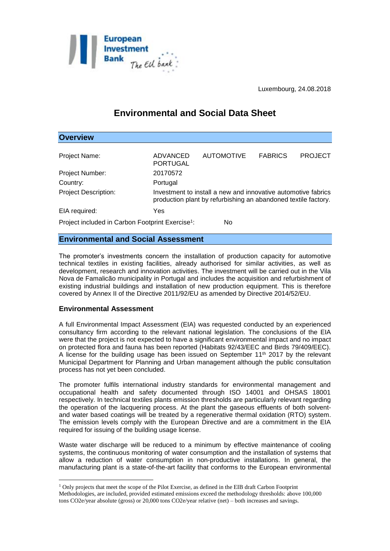

Luxembourg, 24.08.2018

# **Environmental and Social Data Sheet**

| <b>Overview</b>                                                    |                                                                                                                                 |                   |                |                |
|--------------------------------------------------------------------|---------------------------------------------------------------------------------------------------------------------------------|-------------------|----------------|----------------|
| Project Name:                                                      | ADVANCED<br><b>PORTUGAL</b>                                                                                                     | <b>AUTOMOTIVE</b> | <b>FABRICS</b> | <b>PROJECT</b> |
| Project Number:                                                    | 20170572                                                                                                                        |                   |                |                |
| Country:                                                           | Portugal                                                                                                                        |                   |                |                |
| <b>Project Description:</b>                                        | Investment to install a new and innovative automotive fabrics<br>production plant by refurbishing an abandoned textile factory. |                   |                |                |
| EIA required:                                                      | Yes                                                                                                                             |                   |                |                |
| Project included in Carbon Footprint Exercise <sup>1</sup> :<br>No |                                                                                                                                 |                   |                |                |

## **Environmental and Social Assessment**

The promoter's investments concern the installation of production capacity for automotive technical textiles in existing facilities, already authorised for similar activities, as well as development, research and innovation activities. The investment will be carried out in the Vila Nova de Famalicão municipality in Portugal and includes the acquisition and refurbishment of existing industrial buildings and installation of new production equipment. This is therefore covered by Annex II of the Directive 2011/92/EU as amended by Directive 2014/52/EU.

## **Environmental Assessment**

1

A full Environmental Impact Assessment (EIA) was requested conducted by an experienced consultancy firm according to the relevant national legislation. The conclusions of the EIA were that the project is not expected to have a significant environmental impact and no impact on protected flora and fauna has been reported (Habitats 92/43/EEC and Birds 79/409/EEC). A license for the building usage has been issued on September  $11<sup>th</sup>$  2017 by the relevant Municipal Department for Planning and Urban management although the public consultation process has not yet been concluded.

The promoter fulfils international industry standards for environmental management and occupational health and safety documented through ISO 14001 and OHSAS 18001 respectively. In technical textiles plants emission thresholds are particularly relevant regarding the operation of the lacquering process. At the plant the gaseous effluents of both solventand water based coatings will be treated by a regenerative thermal oxidation (RTO) system. The emission levels comply with the European Directive and are a commitment in the EIA required for issuing of the building usage license.

Waste water discharge will be reduced to a minimum by effective maintenance of cooling systems, the continuous monitoring of water consumption and the installation of systems that allow a reduction of water consumption in non-productive installations. In general, the manufacturing plant is a state-of-the-art facility that conforms to the European environmental

<sup>1</sup> Only projects that meet the scope of the Pilot Exercise, as defined in the EIB draft Carbon Footprint Methodologies, are included, provided estimated emissions exceed the methodology thresholds: above 100,000 tons CO2e/year absolute (gross) or 20,000 tons CO2e/year relative (net) – both increases and savings.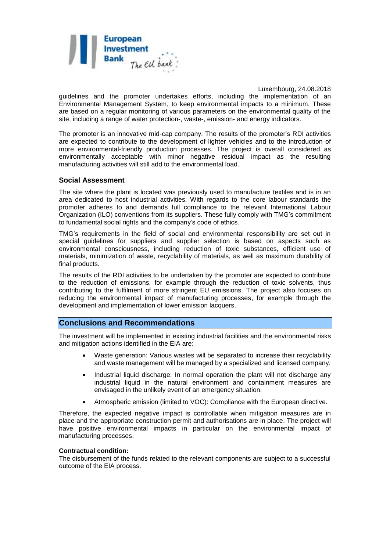

Luxembourg, 24.08.2018

guidelines and the promoter undertakes efforts, including the implementation of an Environmental Management System, to keep environmental impacts to a minimum. These are based on a regular monitoring of various parameters on the environmental quality of the site, including a range of water protection-, waste-, emission- and energy indicators.

The promoter is an innovative mid-cap company. The results of the promoter's RDI activities are expected to contribute to the development of lighter vehicles and to the introduction of more environmental-friendly production processes. The project is overall considered as environmentally acceptable with minor negative residual impact as the resulting manufacturing activities will still add to the environmental load.

### **Social Assessment**

The site where the plant is located was previously used to manufacture textiles and is in an area dedicated to host industrial activities. With regards to the core labour standards the promoter adheres to and demands full compliance to the relevant International Labour Organization (ILO) conventions from its suppliers. These fully comply with TMG's commitment to fundamental social rights and the company's code of ethics.

TMG's requirements in the field of social and environmental responsibility are set out in special guidelines for suppliers and supplier selection is based on aspects such as environmental consciousness, including reduction of toxic substances, efficient use of materials, minimization of waste, recyclability of materials, as well as maximum durability of final products.

The results of the RDI activities to be undertaken by the promoter are expected to contribute to the reduction of emissions, for example through the reduction of toxic solvents, thus contributing to the fulfilment of more stringent EU emissions. The project also focuses on reducing the environmental impact of manufacturing processes, for example through the development and implementation of lower emission lacquers.

### **Conclusions and Recommendations**

The investment will be implemented in existing industrial facilities and the environmental risks and mitigation actions identified in the EIA are:

- Waste generation: Various wastes will be separated to increase their recyclability and waste management will be managed by a specialized and licensed company.
- Industrial liquid discharge: In normal operation the plant will not discharge any industrial liquid in the natural environment and containment measures are envisaged in the unlikely event of an emergency situation.
- Atmospheric emission (limited to VOC): Compliance with the European directive.

Therefore, the expected negative impact is controllable when mitigation measures are in place and the appropriate construction permit and authorisations are in place. The project will have positive environmental impacts in particular on the environmental impact of manufacturing processes.

#### **Contractual condition:**

The disbursement of the funds related to the relevant components are subject to a successful outcome of the EIA process.